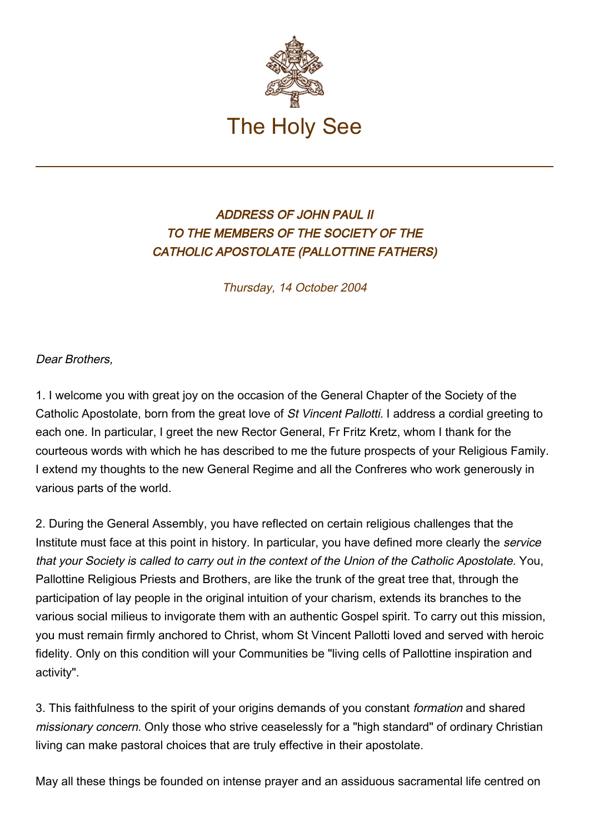

## ADDRESS OF JOHN PAUL II TO THE MEMBERS OF THE SOCIETY OF THE CATHOLIC APOSTOLATE (PALLOTTINE FATHERS)

Thursday, 14 October 2004

Dear Brothers,

1. I welcome you with great joy on the occasion of the General Chapter of the Society of the Catholic Apostolate, born from the great love of St Vincent Pallotti. I address a cordial greeting to each one. In particular, I greet the new Rector General, Fr Fritz Kretz, whom I thank for the courteous words with which he has described to me the future prospects of your Religious Family. I extend my thoughts to the new General Regime and all the Confreres who work generously in various parts of the world.

2. During the General Assembly, you have reflected on certain religious challenges that the Institute must face at this point in history. In particular, you have defined more clearly the service that your Society is called to carry out in the context of the Union of the Catholic Apostolate. You, Pallottine Religious Priests and Brothers, are like the trunk of the great tree that, through the participation of lay people in the original intuition of your charism, extends its branches to the various social milieus to invigorate them with an authentic Gospel spirit. To carry out this mission, you must remain firmly anchored to Christ, whom St Vincent Pallotti loved and served with heroic fidelity. Only on this condition will your Communities be "living cells of Pallottine inspiration and activity".

3. This faithfulness to the spirit of your origins demands of you constant formation and shared missionary concern. Only those who strive ceaselessly for a "high standard" of ordinary Christian living can make pastoral choices that are truly effective in their apostolate.

May all these things be founded on intense prayer and an assiduous sacramental life centred on